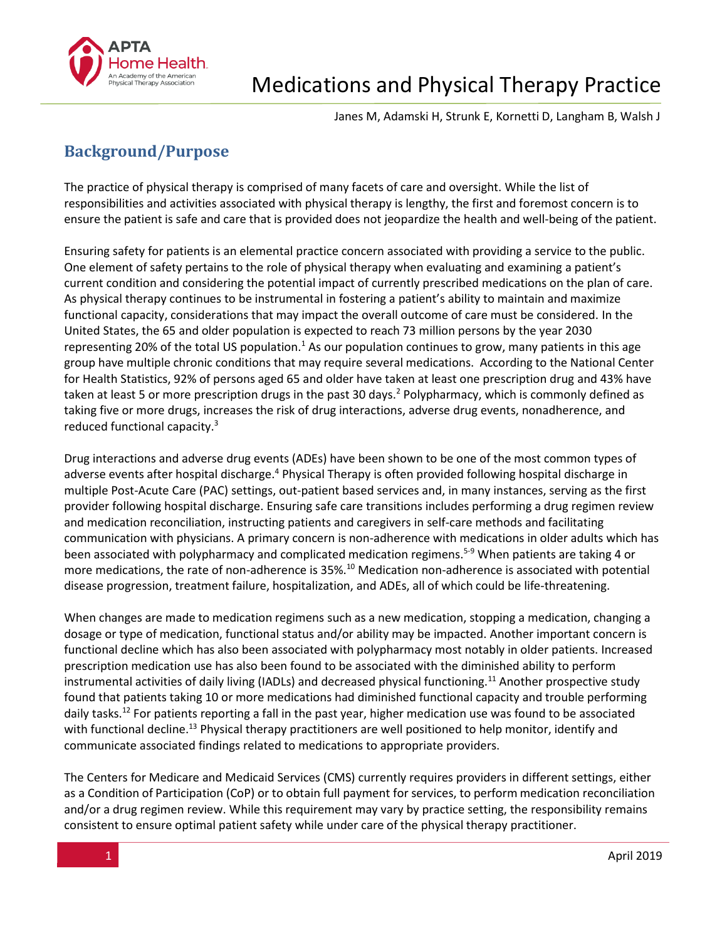

Janes M, Adamski H, Strunk E, Kornetti D, Langham B, Walsh J

# **Background/Purpose**

The practice of physical therapy is comprised of many facets of care and oversight. While the list of responsibilities and activities associated with physical therapy is lengthy, the first and foremost concern is to ensure the patient is safe and care that is provided does not jeopardize the health and well-being of the patient.

Ensuring safety for patients is an elemental practice concern associated with providing a service to the public. One element of safety pertains to the role of physical therapy when evaluating and examining a patient's current condition and considering the potential impact of currently prescribed medications on the plan of care. As physical therapy continues to be instrumental in fostering a patient's ability to maintain and maximize functional capacity, considerations that may impact the overall outcome of care must be considered. In the United States, the 65 and older population is expected to reach 73 million persons by the year 2030 representing 20% of the total US population.<sup>1</sup> As our population continues to grow, many patients in this age group have multiple chronic conditions that may require several medications. According to the National Center for Health Statistics, 92% of persons aged 65 and older have taken at least one prescription drug and 43% have taken at least 5 or more prescription drugs in the past 30 days.<sup>2</sup> Polypharmacy, which is commonly defined as taking five or more drugs, increases the risk of drug interactions, adverse drug events, nonadherence, and reduced functional capacity.<sup>3</sup>

Drug interactions and adverse drug events (ADEs) have been shown to be one of the most common types of adverse events after hospital discharge.<sup>4</sup> Physical Therapy is often provided following hospital discharge in multiple Post-Acute Care (PAC) settings, out-patient based services and, in many instances, serving as the first provider following hospital discharge. Ensuring safe care transitions includes performing a drug regimen review and medication reconciliation, instructing patients and caregivers in self-care methods and facilitating communication with physicians. A primary concern is non-adherence with medications in older adults which has been associated with polypharmacy and complicated medication regimens.<sup>5-9</sup> When patients are taking 4 or more medications, the rate of non-adherence is 35%.<sup>10</sup> Medication non-adherence is associated with potential disease progression, treatment failure, hospitalization, and ADEs, all of which could be life-threatening.

When changes are made to medication regimens such as a new medication, stopping a medication, changing a dosage or type of medication, functional status and/or ability may be impacted. Another important concern is functional decline which has also been associated with polypharmacy most notably in older patients. Increased prescription medication use has also been found to be associated with the diminished ability to perform instrumental activities of daily living (IADLs) and decreased physical functioning.<sup>11</sup> Another prospective study found that patients taking 10 or more medications had diminished functional capacity and trouble performing daily tasks.<sup>12</sup> For patients reporting a fall in the past year, higher medication use was found to be associated with functional decline.<sup>13</sup> Physical therapy practitioners are well positioned to help monitor, identify and communicate associated findings related to medications to appropriate providers.

The Centers for Medicare and Medicaid Services (CMS) currently requires providers in different settings, either as a Condition of Participation (CoP) or to obtain full payment for services, to perform medication reconciliation and/or a drug regimen review. While this requirement may vary by practice setting, the responsibility remains consistent to ensure optimal patient safety while under care of the physical therapy practitioner.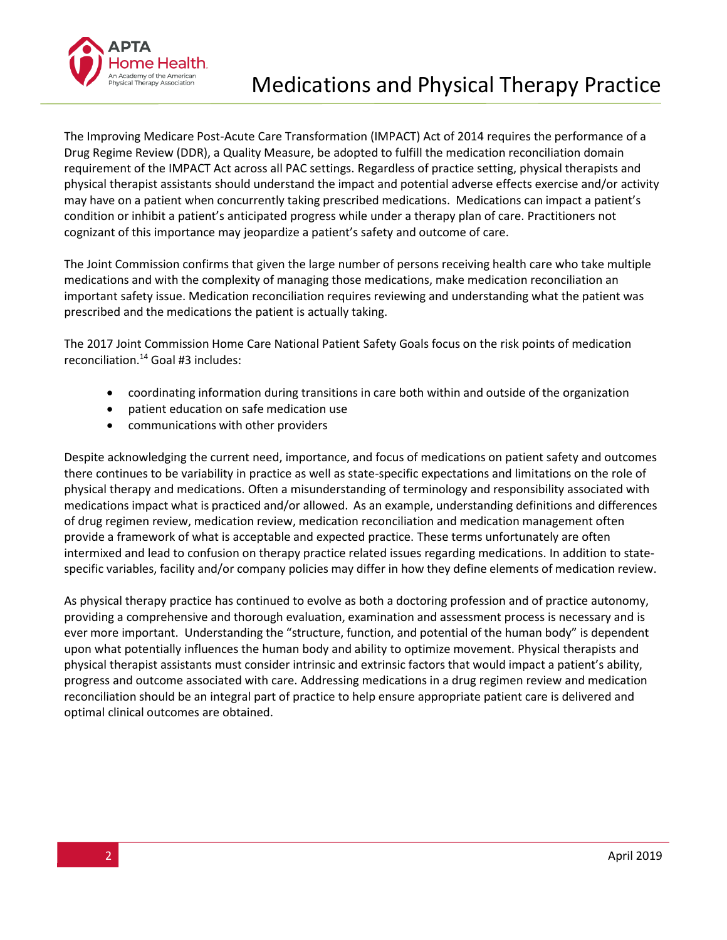

The Improving Medicare Post-Acute Care Transformation (IMPACT) Act of 2014 requires the performance of a Drug Regime Review (DDR), a Quality Measure, be adopted to fulfill the medication reconciliation domain requirement of the IMPACT Act across all PAC settings. Regardless of practice setting, physical therapists and physical therapist assistants should understand the impact and potential adverse effects exercise and/or activity may have on a patient when concurrently taking prescribed medications. Medications can impact a patient's condition or inhibit a patient's anticipated progress while under a therapy plan of care. Practitioners not cognizant of this importance may jeopardize a patient's safety and outcome of care.

The Joint Commission confirms that given the large number of persons receiving health care who take multiple medications and with the complexity of managing those medications, make medication reconciliation an important safety issue. Medication reconciliation requires reviewing and understanding what the patient was prescribed and the medications the patient is actually taking.

The 2017 Joint Commission Home Care National Patient Safety Goals focus on the risk points of medication reconciliation.<sup>14</sup> Goal #3 includes:

- coordinating information during transitions in care both within and outside of the organization
- patient education on safe medication use
- communications with other providers

Despite acknowledging the current need, importance, and focus of medications on patient safety and outcomes there continues to be variability in practice as well as state-specific expectations and limitations on the role of physical therapy and medications. Often a misunderstanding of terminology and responsibility associated with medications impact what is practiced and/or allowed. As an example, understanding definitions and differences of drug regimen review, medication review, medication reconciliation and medication management often provide a framework of what is acceptable and expected practice. These terms unfortunately are often intermixed and lead to confusion on therapy practice related issues regarding medications. In addition to statespecific variables, facility and/or company policies may differ in how they define elements of medication review.

As physical therapy practice has continued to evolve as both a doctoring profession and of practice autonomy, providing a comprehensive and thorough evaluation, examination and assessment process is necessary and is ever more important. Understanding the "structure, function, and potential of the human body" is dependent upon what potentially influences the human body and ability to optimize movement. Physical therapists and physical therapist assistants must consider intrinsic and extrinsic factors that would impact a patient's ability, progress and outcome associated with care. Addressing medications in a drug regimen review and medication reconciliation should be an integral part of practice to help ensure appropriate patient care is delivered and optimal clinical outcomes are obtained.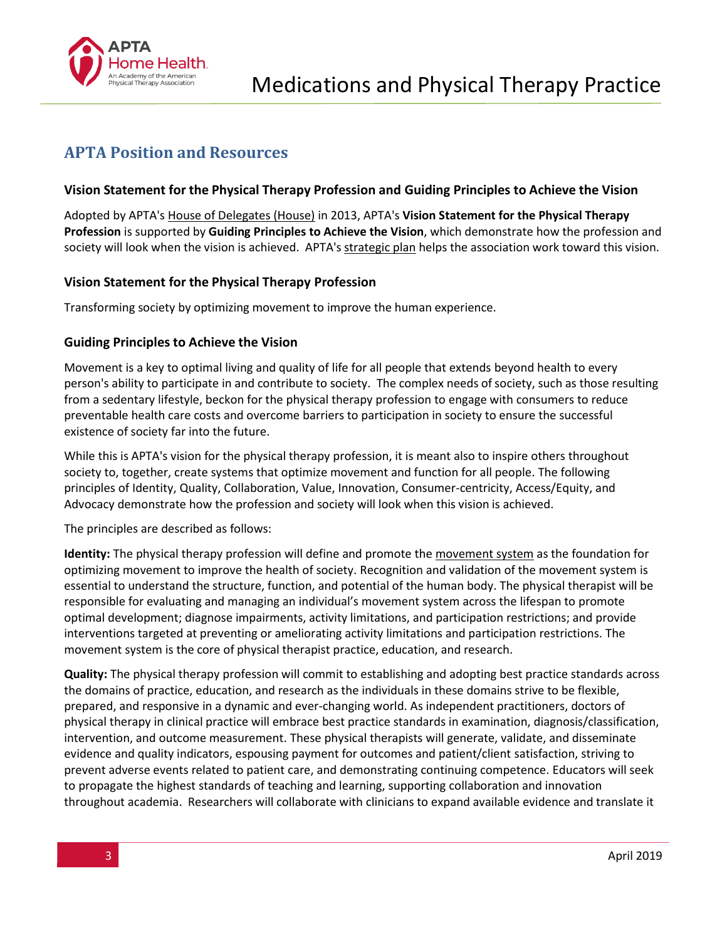

### **APTA Position and Resources**

### **Vision Statement for the Physical Therapy Profession and Guiding Principles to Achieve the Vision**

Adopted by APTA's [House of Delegates \(House\)](http://www.apta.org/HOD/) in 2013, APTA's **Vision Statement for the Physical Therapy Profession** is supported by **Guiding Principles to Achieve the Vision**, which demonstrate how the profession and society will look when the vision is achieved. APTA's [strategic](http://www.apta.org/StrategicPlan/) plan helps the association work toward this vision.

### **Vision Statement for the Physical Therapy Profession**

Transforming society by optimizing movement to improve the human experience.

### **Guiding Principles to Achieve the Vision**

Movement is a key to optimal living and quality of life for all people that extends beyond health to every person's ability to participate in and contribute to society. The complex needs of society, such as those resulting from a sedentary lifestyle, beckon for the physical therapy profession to engage with consumers to reduce preventable health care costs and overcome barriers to participation in society to ensure the successful existence of society far into the future.

While this is APTA's vision for the physical therapy profession, it is meant also to inspire others throughout society to, together, create systems that optimize movement and function for all people. The following principles of Identity, Quality, Collaboration, Value, Innovation, Consumer-centricity, Access/Equity, and Advocacy demonstrate how the profession and society will look when this vision is achieved.

The principles are described as follows:

**Identity:** The physical therapy profession will define and promote th[e movement system](http://www.apta.org/MovementSystem/) as the foundation for optimizing movement to improve the health of society. Recognition and validation of the movement system is essential to understand the structure, function, and potential of the human body. The physical therapist will be responsible for evaluating and managing an individual's movement system across the lifespan to promote optimal development; diagnose impairments, activity limitations, and participation restrictions; and provide interventions targeted at preventing or ameliorating activity limitations and participation restrictions. The movement system is the core of physical therapist practice, education, and research.

**Quality:** The physical therapy profession will commit to establishing and adopting best practice standards across the domains of practice, education, and research as the individuals in these domains strive to be flexible, prepared, and responsive in a dynamic and ever-changing world. As independent practitioners, doctors of physical therapy in clinical practice will embrace best practice standards in examination, diagnosis/classification, intervention, and outcome measurement. These physical therapists will generate, validate, and disseminate evidence and quality indicators, espousing payment for outcomes and patient/client satisfaction, striving to prevent adverse events related to patient care, and demonstrating continuing competence. Educators will seek to propagate the highest standards of teaching and learning, supporting collaboration and innovation throughout academia. Researchers will collaborate with clinicians to expand available evidence and translate it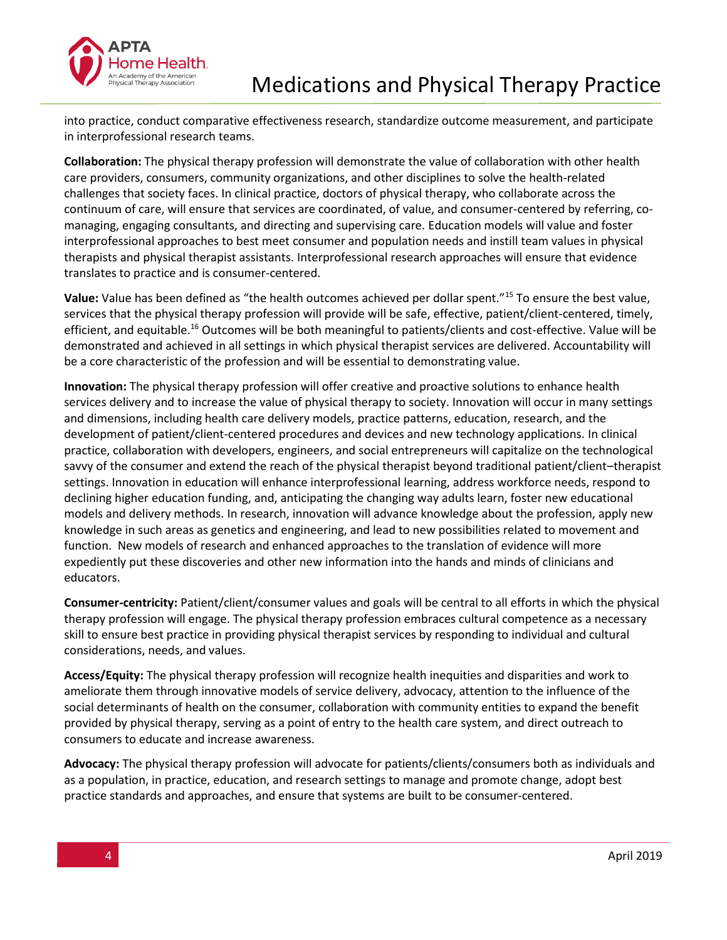

into practice, conduct comparative effectiveness research, standardize outcome measurement, and participate in interprofessional research teams.

**Collaboration:** The physical therapy profession will demonstrate the value of collaboration with other health care providers, consumers, community organizations, and other disciplines to solve the health-related challenges that society faces. In clinical practice, doctors of physical therapy, who collaborate across the continuum of care, will ensure that services are coordinated, of value, and consumer-centered by referring, comanaging, engaging consultants, and directing and supervising care. Education models will value and foster interprofessional approaches to best meet consumer and population needs and instill team values in physical therapists and physical therapist assistants. Interprofessional research approaches will ensure that evidence translates to practice and is consumer-centered.

**Value:** Value has been defined as "the health outcomes achieved per dollar spent."<sup>15</sup> To ensure the best value, services that the physical therapy profession will provide will be safe, effective, patient/client-centered, timely, efficient, and equitable.<sup>16</sup> Outcomes will be both meaningful to patients/clients and cost-effective. Value will be demonstrated and achieved in all settings in which physical therapist services are delivered. Accountability will be a core characteristic of the profession and will be essential to demonstrating value.

**Innovation:** The physical therapy profession will offer creative and proactive solutions to enhance health services delivery and to increase the value of physical therapy to society. Innovation will occur in many settings and dimensions, including health care delivery models, practice patterns, education, research, and the development of patient/client-centered procedures and devices and new technology applications. In clinical practice, collaboration with developers, engineers, and social entrepreneurs will capitalize on the technological savvy of the consumer and extend the reach of the physical therapist beyond traditional patient/client–therapist settings. Innovation in education will enhance interprofessional learning, address workforce needs, respond to declining higher education funding, and, anticipating the changing way adults learn, foster new educational models and delivery methods. In research, innovation will advance knowledge about the profession, apply new knowledge in such areas as genetics and engineering, and lead to new possibilities related to movement and function. New models of research and enhanced approaches to the translation of evidence will more expediently put these discoveries and other new information into the hands and minds of clinicians and educators.

**Consumer-centricity:** Patient/client/consumer values and goals will be central to all efforts in which the physical therapy profession will engage. The physical therapy profession embraces cultural competence as a necessary skill to ensure best practice in providing physical therapist services by responding to individual and cultural considerations, needs, and values.

**Access/Equity:** The physical therapy profession will recognize health inequities and disparities and work to ameliorate them through innovative models of service delivery, advocacy, attention to the influence of the social determinants of health on the consumer, collaboration with community entities to expand the benefit provided by physical therapy, serving as a point of entry to the health care system, and direct outreach to consumers to educate and increase awareness.

**Advocacy:** The physical therapy profession will advocate for patients/clients/consumers both as individuals and as a population, in practice, education, and research settings to manage and promote change, adopt best practice standards and approaches, and ensure that systems are built to be consumer-centered.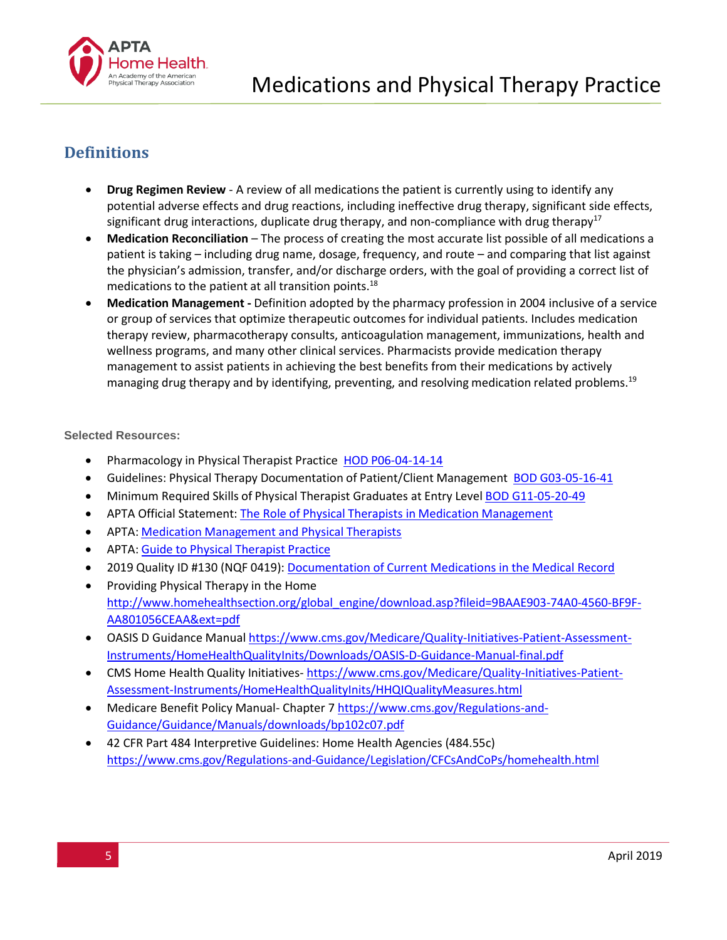

## **Definitions**

- **Drug Regimen Review** ‐ A review of all medications the patient is currently using to identify any potential adverse effects and drug reactions, including ineffective drug therapy, significant side effects, significant drug interactions, duplicate drug therapy, and non-compliance with drug therapy<sup>17</sup>
- **Medication Reconciliation**  The process of creating the most accurate list possible of all medications a patient is taking – including drug name, dosage, frequency, and route – and comparing that list against the physician's admission, transfer, and/or discharge orders, with the goal of providing a correct list of medications to the patient at all transition points.<sup>18</sup>
- **Medication Management ‐** Definition adopted by the pharmacy profession in 2004 inclusive of a service or group of services that optimize therapeutic outcomes for individual patients. Includes medication therapy review, pharmacotherapy consults, anticoagulation management, immunizations, health and wellness programs, and many other clinical services. Pharmacists provide medication therapy management to assist patients in achieving the best benefits from their medications by actively managing drug therapy and by identifying, preventing, and resolving medication related problems.<sup>19</sup>

### **Selected Resources:**

- Pharmacology in Physical Therapist Practice HOD [P06-04-14-14](https://www.apta.org/uploadedFiles/APTAorg/About_Us/Policies/HOD/Practice/Pharmacology.pdf)
- Guidelines: Physical Therapy Documentation of Patient/Client Management BOD [G03-05-16-41](https://www.apta.org/uploadedFiles/APTAorg/About_Us/Policies/BOD/Practice/DocumentationPatientClientMgmt.pdf)
- Minimum Required Skills of Physical Therapist Graduates at Entry Level [BOD G11-05-20-49](https://www.apta.org/uploadedFiles/APTAorg/About_Us/Policies/BOD/Education/MinReqSkillsPTGrad.pdf)
- APTA Official Statement: The Role of Physical Therapists in Medication [Management](https://www.apta.org/uploadedFiles/APTAorg/Payment/Medicare/Coding_and_Billing/Home_Health/Comments/Statement_MedicationManagement_102610.pdf)
- APTA: Medication [Management](http://www.homehealthquality.org/getattachment/UP/UP-Event-Archives/PTs_and_Medication_State_Law_and_Regs_4-13_(2).pdf.aspx) and Physical Therapists
- APTA: Guide to Physical [Therapist](http://guidetoptpractice.apta.org/) Practice
- 2019 Quality ID #130 (NQF 0419): Documentation of Current [Medications in the](http://www.apta.org/uploadedFiles/APTAorg/Payment/VBC/QPP/MIPS/2019/2019Measure130.pdf#search%3D%22Medication%20Management%22) Medical Record
- Providing Physical Therapy in the Home [http://www.homehealthsection.org/global\\_engine/download.asp?fileid=9BAAE903-74A0-4560-BF9F-](http://www.homehealthsection.org/global_engine/download.asp?fileid=9BAAE903-74A0-4560-BF9F-AA801056CEAA&ext=pdf)[AA801056CEAA&ext=pdf](http://www.homehealthsection.org/global_engine/download.asp?fileid=9BAAE903-74A0-4560-BF9F-AA801056CEAA&ext=pdf)
- OASIS D Guidance Manual [https://www.cms.gov/Medicare/Quality-Initiatives-Patient-Assessment-](https://www.cms.gov/Medicare/Quality-Initiatives-Patient-Assessment-Instruments/HomeHealthQualityInits/Downloads/OASIS-D-Guidance-Manual-final.pdf)[Instruments/HomeHealthQualityInits/Downloads/OASIS-D-Guidance-Manual-final.pdf](https://www.cms.gov/Medicare/Quality-Initiatives-Patient-Assessment-Instruments/HomeHealthQualityInits/Downloads/OASIS-D-Guidance-Manual-final.pdf)
- CMS Home Health Quality Initiatives-[https://www.cms.gov/Medicare/Quality-Initiatives-Patient-](https://www.cms.gov/Medicare/Quality-Initiatives-Patient-Assessment-Instruments/HomeHealthQualityInits/HHQIQualityMeasures.html)[Assessment-Instruments/HomeHealthQualityInits/HHQIQualityMeasures.html](https://www.cms.gov/Medicare/Quality-Initiatives-Patient-Assessment-Instruments/HomeHealthQualityInits/HHQIQualityMeasures.html)
- Medicare Benefit Policy Manual- Chapter 7 [https://www.cms.gov/Regulations-and-](https://www.cms.gov/Regulations-and-Guidance/Guidance/Manuals/downloads/bp102c07.pdf)[Guidance/Guidance/Manuals/downloads/bp102c07.pdf](https://www.cms.gov/Regulations-and-Guidance/Guidance/Manuals/downloads/bp102c07.pdf)
- 42 CFR Part 484 Interpretive Guidelines: Home Health Agencies (484.55c) <https://www.cms.gov/Regulations-and-Guidance/Legislation/CFCsAndCoPs/homehealth.html>